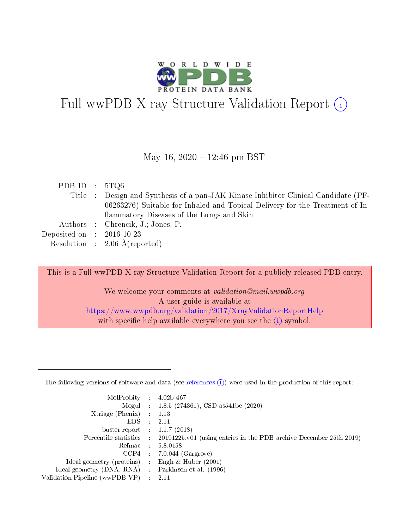

# Full wwPDB X-ray Structure Validation Report  $(i)$

#### May 16,  $2020 - 12:46$  pm BST

| PDB ID : $5TQ6$                                                                    |  |
|------------------------------------------------------------------------------------|--|
| Title : Design and Synthesis of a pan-JAK Kinase Inhibitor Clinical Candidate (PF- |  |
| 06263276) Suitable for Inhaled and Topical Delivery for the Treatment of In-       |  |
| flammatory Diseases of the Lungs and Skin                                          |  |
| Authors : Chrencik, J.; Jones, P.                                                  |  |
| Deposited on $\therefore$ 2016-10-23                                               |  |
| Resolution : $2.06 \text{ Å}$ (reported)                                           |  |

This is a Full wwPDB X-ray Structure Validation Report for a publicly released PDB entry.

We welcome your comments at validation@mail.wwpdb.org A user guide is available at <https://www.wwpdb.org/validation/2017/XrayValidationReportHelp> with specific help available everywhere you see the  $(i)$  symbol.

The following versions of software and data (see [references](https://www.wwpdb.org/validation/2017/XrayValidationReportHelp#references)  $(1)$ ) were used in the production of this report:

| MolProbity :                   |               | $4.02b - 467$                                                               |
|--------------------------------|---------------|-----------------------------------------------------------------------------|
|                                |               | Mogul : $1.8.5$ (274361), CSD as 541be (2020)                               |
| Xtriage (Phenix)               | $\mathcal{L}$ | 1.13                                                                        |
| EDS.                           |               | 2.11                                                                        |
| buster-report : $1.1.7$ (2018) |               |                                                                             |
| Percentile statistics :        |               | $20191225 \text{v}01$ (using entries in the PDB archive December 25th 2019) |
| Refmac :                       |               | 5.8.0158                                                                    |
| CCP4                           |               | $7.0.044$ (Gargrove)                                                        |
| Ideal geometry (proteins) :    |               | Engh & Huber $(2001)$                                                       |
| Ideal geometry (DNA, RNA) :    |               | Parkinson et al. (1996)                                                     |
| Validation Pipeline (wwPDB-VP) | $\mathcal{L}$ | 2.11                                                                        |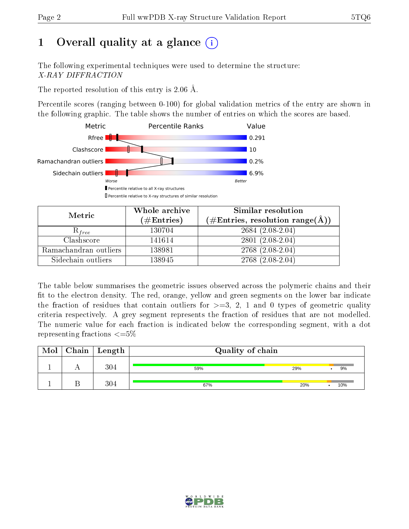# 1 [O](https://www.wwpdb.org/validation/2017/XrayValidationReportHelp#overall_quality)verall quality at a glance  $(i)$

The following experimental techniques were used to determine the structure: X-RAY DIFFRACTION

The reported resolution of this entry is 2.06 Å.

Percentile scores (ranging between 0-100) for global validation metrics of the entry are shown in the following graphic. The table shows the number of entries on which the scores are based.



| Metric                | Whole archive        | <b>Similar resolution</b>                                 |
|-----------------------|----------------------|-----------------------------------------------------------|
|                       | $(\#\text{Entries})$ | $(\#\text{Entries}, \text{resolution range}(\text{\AA}))$ |
| $\mathcal{R}_{free}$  | 130704               | $2684(2.08-2.04)$                                         |
| Clashscore            | 141614               | $2801(2.08-2.04)$                                         |
| Ramachandran outliers | 138981               | $2768(2.08-2.04)$                                         |
| Sidechain outliers    | 138945               | $2768(2.08-2.04)$                                         |

The table below summarises the geometric issues observed across the polymeric chains and their fit to the electron density. The red, orange, yellow and green segments on the lower bar indicate the fraction of residues that contain outliers for  $>=3, 2, 1$  and 0 types of geometric quality criteria respectively. A grey segment represents the fraction of residues that are not modelled. The numeric value for each fraction is indicated below the corresponding segment, with a dot representing fractions  $\epsilon = 5\%$ 

| Mol | $Chain \  Length$ | Quality of chain |     |     |
|-----|-------------------|------------------|-----|-----|
|     | 304               | 59%              | 29% | 9%  |
|     | 304               | 67%              | 20% | 10% |

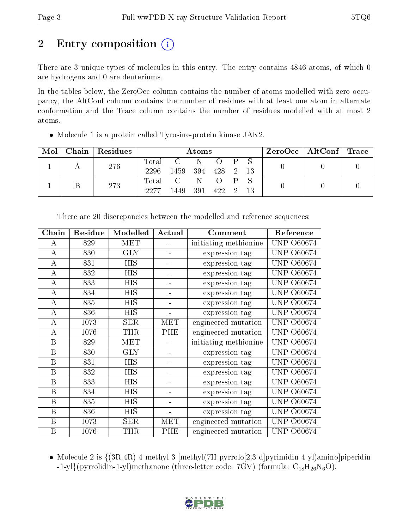# 2 Entry composition  $\left( \cdot \right)$

There are 3 unique types of molecules in this entry. The entry contains 4846 atoms, of which 0 are hydrogens and 0 are deuteriums.

In the tables below, the ZeroOcc column contains the number of atoms modelled with zero occupancy, the AltConf column contains the number of residues with at least one atom in alternate conformation and the Trace column contains the number of residues modelled with at most 2 atoms.

| Mol |     | Chain Residues | Atoms |                 |              |  |  | $ZeroOcc \   \ AltConf \   \ Trace$ |  |  |
|-----|-----|----------------|-------|-----------------|--------------|--|--|-------------------------------------|--|--|
|     | 276 |                |       | Total C N O P S |              |  |  |                                     |  |  |
|     |     |                | 2296  | 1459            | 394 428 2 13 |  |  |                                     |  |  |
|     |     | 273            |       | Total C N O P   |              |  |  |                                     |  |  |
|     |     | 2277           | 1449. | 391             | 422 2        |  |  |                                     |  |  |

Molecule 1 is a protein called Tyrosine-protein kinase JAK2.

| Chain        | Residue | Modelled             | Actual                       | Comment               | Reference         |
|--------------|---------|----------------------|------------------------------|-----------------------|-------------------|
| A            | 829     | MET                  |                              | initiating methionine | UNP-<br>O60674    |
| $\bf{A}$     | 830     | $\rm GLY$            | $\blacksquare$               | expression tag        | UNP.<br>O60674    |
| A            | 831     | <b>HIS</b>           |                              | expression tag        | O60674<br>UNP     |
| A            | 832     | HIS                  |                              | expression tag        | <b>UNP 060674</b> |
| A            | 833     | <b>HIS</b>           |                              | expression tag        | O60674<br>UNP.    |
| $\bf{A}$     | 834     | <b>HIS</b>           | $\blacksquare$               | expression tag        | UNP<br>O60674     |
| $\bf{A}$     | 835     | <b>HIS</b>           |                              | expression tag        | UNP.<br>O60674    |
| A            | 836     | HIS                  |                              | expression tag        | O60674<br>UNP     |
| $\bf{A}$     | 1073    | SER                  | <b>MET</b>                   | engineered mutation   | <b>UNP 060674</b> |
| A            | 1076    | THR                  | PHE                          | engineered mutation   | UNP.<br>O60674    |
| B            | 829     | $\operatorname{MET}$ |                              | initiating methionine | UNP.<br>O60674    |
| B            | 830     | $\rm GLY$            |                              | expression tag        | UNP.<br>O60674    |
| B            | 831     | <b>HIS</b>           |                              | expression tag        | <b>UNP 060674</b> |
| $\mathbf{B}$ | 832     | <b>HIS</b>           |                              | expression tag        | UNP<br>O60674     |
| B            | 833     | <b>HIS</b>           |                              | expression tag        | UNP.<br>O60674    |
| $\mathbf{B}$ | 834     | <b>HIS</b>           | Ξ.                           | expression tag        | O60674<br>UNP.    |
| B            | 835     | HIS                  |                              | expression tag        | UNP  <br>O60674   |
| B            | 836     | HIS                  | $\qquad \qquad \blacksquare$ | expression tag        | UNP  <br>O60674   |
| B            | 1073    | SER                  | <b>MET</b>                   | engineered mutation   | UNP.<br>O60674    |
| B            | 1076    | THR                  | PHE                          | engineered mutation   | UNP  <br>O60674   |

There are 20 discrepancies between the modelled and reference sequences:

• Molecule 2 is  $\{(3R,4R)-4-methyl-3-[methyl(7H-pyrrolo[2,3-d]pyrimidin-4-yl)aminol diperidin$  $-1$ -yl}(pyrrolidin-1-yl)methanone (three-letter code: 7GV) (formula:  $C_{18}H_{26}N_6O$ ).

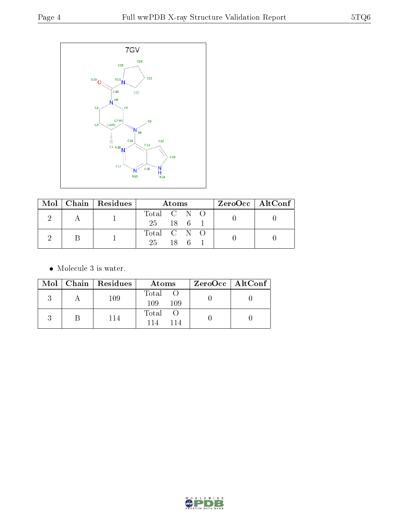

|  |  | $\text{Mol}$   Chain   Residues | Atoms       | $ZeroOcc \   \$ AltConf |  |
|--|--|---------------------------------|-------------|-------------------------|--|
|  |  |                                 | Total C N O |                         |  |
|  |  |                                 | 25 18 6 1   |                         |  |
|  |  |                                 | Total C N O |                         |  |
|  |  |                                 | 25<br>18 6  |                         |  |

• Molecule 3 is water.

|  | Mol   Chain   Residues | Atoms               | $ZeroOcc \   \ AltConf \  $ |
|--|------------------------|---------------------|-----------------------------|
|  | 109                    | Total<br>109<br>109 |                             |
|  | 114                    | Total<br>114        |                             |

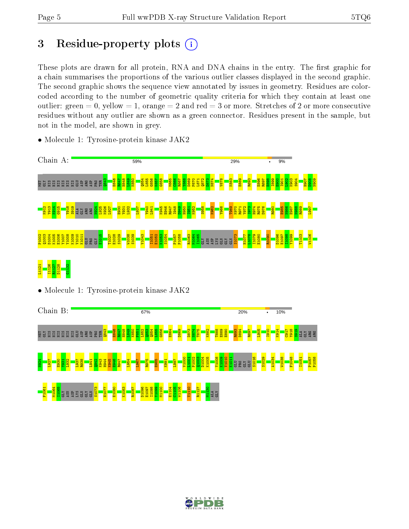# 3 Residue-property plots  $(i)$

These plots are drawn for all protein, RNA and DNA chains in the entry. The first graphic for a chain summarises the proportions of the various outlier classes displayed in the second graphic. The second graphic shows the sequence view annotated by issues in geometry. Residues are colorcoded according to the number of geometric quality criteria for which they contain at least one outlier: green  $= 0$ , yellow  $= 1$ , orange  $= 2$  and red  $= 3$  or more. Stretches of 2 or more consecutive residues without any outlier are shown as a green connector. Residues present in the sample, but not in the model, are shown in grey.



• Molecule 1: Tyrosine-protein kinase JAK2



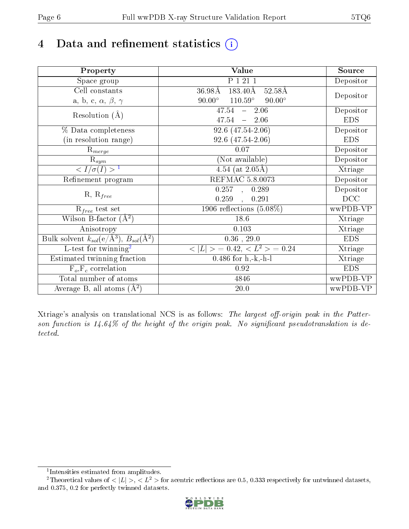# 4 Data and refinement statistics  $(i)$

| Property                                                             | Value                                            | Source     |
|----------------------------------------------------------------------|--------------------------------------------------|------------|
| Space group                                                          | P 1 21 1                                         | Depositor  |
| Cell constants                                                       | 183.40Å<br>$36.98\rm\AA$<br>$52.58\text{\AA}$    |            |
| a, b, c, $\alpha$ , $\beta$ , $\gamma$                               | $110.59^\circ$<br>$90.00^\circ$<br>$90.00^\circ$ | Depositor  |
| Resolution $(A)$                                                     | $-2.06$<br>47.54                                 | Depositor  |
|                                                                      | $47.54 = 2.06$                                   | <b>EDS</b> |
| % Data completeness                                                  | $92.6(47.54-2.06)$                               | Depositor  |
| (in resolution range)                                                | 92.6 (47.54-2.06)                                | <b>EDS</b> |
| $\mathrm{R}_{merge}$                                                 | 0.07                                             | Depositor  |
| $\mathrm{R}_{sym}$                                                   | (Not available)                                  | Depositor  |
| $\sqrt{I/\sigma(I)} > 1$                                             | $\overline{4.54}$ (at 2.05Å)                     | Xtriage    |
| Refinement program                                                   | <b>REFMAC 5.8.0073</b>                           | Depositor  |
|                                                                      | 0.257, 0.289                                     | Depositor  |
| $R, R_{free}$                                                        | 0.259<br>0.291<br>$\overline{a}$                 | DCC        |
| $R_{free}$ test set                                                  | 1906 reflections $(5.08\%)$                      | wwPDB-VP   |
| Wilson B-factor $(A^2)$                                              | 18.6                                             | Xtriage    |
| Anisotropy                                                           | 0.103                                            | Xtriage    |
| Bulk solvent $k_{sol}(e/\mathring{A}^3)$ , $B_{sol}(\mathring{A}^2)$ | $0.36$ , $29.0\,$                                | <b>EDS</b> |
| $\overline{L-test for}$ twinning <sup>2</sup>                        | $< L >$ = 0.42, $< L^2 >$ = 0.24                 | Xtriage    |
| Estimated twinning fraction                                          | $0.486$ for $h,-k,-h-l$                          | Xtriage    |
| $F_o, F_c$ correlation                                               | 0.92                                             | <b>EDS</b> |
| Total number of atoms                                                | 4846                                             | wwPDB-VP   |
| Average B, all atoms $(A^2)$                                         | $20.0\,$                                         | wwPDB-VP   |

Xtriage's analysis on translational NCS is as follows: The largest off-origin peak in the Patterson function is  $14.64\%$  of the height of the origin peak. No significant pseudotranslation is detected.

<sup>&</sup>lt;sup>2</sup>Theoretical values of  $\langle |L| \rangle$ ,  $\langle L^2 \rangle$  for acentric reflections are 0.5, 0.333 respectively for untwinned datasets, and 0.375, 0.2 for perfectly twinned datasets.



<span id="page-5-1"></span><span id="page-5-0"></span><sup>1</sup> Intensities estimated from amplitudes.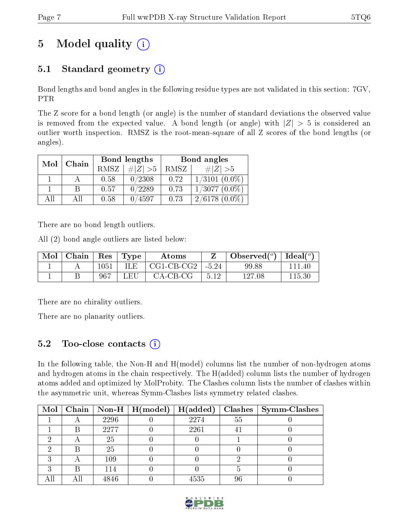# 5 Model quality  $(i)$

## 5.1 Standard geometry  $(i)$

Bond lengths and bond angles in the following residue types are not validated in this section: 7GV, PTR

The Z score for a bond length (or angle) is the number of standard deviations the observed value is removed from the expected value. A bond length (or angle) with  $|Z| > 5$  is considered an outlier worth inspection. RMSZ is the root-mean-square of all Z scores of the bond lengths (or angles).

| Mol | Chain |             | Bond lengths | Bond angles |                    |  |
|-----|-------|-------------|--------------|-------------|--------------------|--|
|     |       | <b>RMSZ</b> | $\# Z  > 5$  | RMSZ        | $\# Z  > 5$        |  |
|     |       | 0.58        | 0/2308       | 0.72        | $1/3101~(0.0\%)$   |  |
|     | B     | 0.57        | 0/2289       | 0.73        | $1/3077$ $(0.0\%)$ |  |
| AĦ  | АH    | 0.58        | 0/4597       | 0.73        | $2/6178(0.0\%)$    |  |

There are no bond length outliers.

All (2) bond angle outliers are listed below:

| Mol | Chain | $\operatorname{Res}$ | Type | $\rm{Atoms}$ |         | Observed( $^{\circ}$ )   Ideal( $^{\circ}$ ) |        |
|-----|-------|----------------------|------|--------------|---------|----------------------------------------------|--------|
|     |       | 1051                 | ILE. | CG1-CB-CG2   | $-5.24$ | 99.88                                        | 111 40 |
|     |       | -967                 | LEU  | $CA-CB-CG$   | 5.12    | 127.08                                       | 115.30 |

There are no chirality outliers.

There are no planarity outliers.

### 5.2 Too-close contacts  $\overline{a}$

In the following table, the Non-H and H(model) columns list the number of non-hydrogen atoms and hydrogen atoms in the chain respectively. The H(added) column lists the number of hydrogen atoms added and optimized by MolProbity. The Clashes column lists the number of clashes within the asymmetric unit, whereas Symm-Clashes lists symmetry related clashes.

|  |      | Mol   Chain   Non-H   $H (model)$ | H(added) |    | $Clashes$   Symm-Clashes |
|--|------|-----------------------------------|----------|----|--------------------------|
|  | 2296 |                                   | 2274     | 55 |                          |
|  | 2277 |                                   | 2261     |    |                          |
|  | 25   |                                   |          |    |                          |
|  | 25   |                                   |          |    |                          |
|  | 109  |                                   |          |    |                          |
|  | 114  |                                   |          |    |                          |
|  | 4846 |                                   | 4535     | 96 |                          |

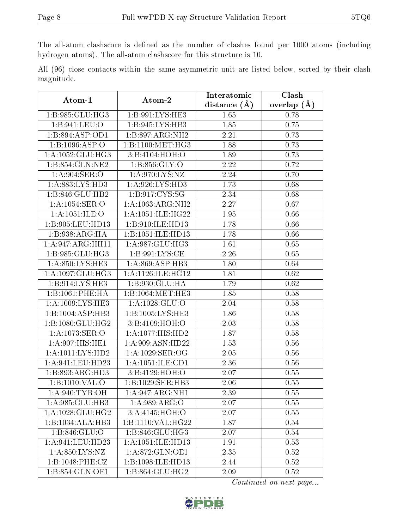The all-atom clashscore is defined as the number of clashes found per 1000 atoms (including hydrogen atoms). The all-atom clashscore for this structure is 10.

All (96) close contacts within the same asymmetric unit are listed below, sorted by their clash magnitude.

| Atom-1               | Atom-2               | Interatomic       | Clash         |
|----------------------|----------------------|-------------------|---------------|
|                      |                      | distance $(\AA)$  | overlap $(A)$ |
| 1:B:985:GLU:HG3      | 1:B:991:LYS:HE3      | 1.65              | 0.78          |
| 1:B:941:LEU:O        | 1: B:945: LYS: HB3   | 1.85              | 0.75          |
| 1:B:894:ASP:OD1      | 1:B:897:ARG:NH2      | 2.21              | 0.73          |
| 1:B:1096:ASP:O       | 1:B:1100:MET:HG3     | 1.88              | 0.73          |
| 1:A:1052:GLU:HG3     | 3:B:4104:HOH:O       | 1.89              | 0.73          |
| 1:B:854:GLN:NE2      | 1: B: 856: GLY: O    | 2.22              | 0.72          |
| 1:A:904:SER:O        | 1:A:970:LYS:NZ       | 2.24              | 0.70          |
| 1: A:883: LYS:HD3    | 1: A:926: LYS: HD3   | 1.73              | 0.68          |
| 1:B:846:GLU:HB2      | 1:B:917:CYS:SG       | 2.34              | 0.68          |
| 1:A:1054:SER:O       | 1:A:1063:ARG:NH2     | 2.27              | 0.67          |
| 1:A:1051:ILE:O       | 1:A:1051:ILE:HG22    | 1.95              | 0.66          |
| 1:B:905:LEU:HD13     | 1:B:910:ILE:HD13     | 1.78              | 0.66          |
| 1:B:938:ARG:HA       | 1:B:1051:ILE:HD13    | 1.78              | 0.66          |
| 1:A:947:ARG:HH11     | 1: A:987: GLU: HG3   | 1.61              | 0.65          |
| 1:B:985:GLU:HG3      | 1:B:991:LYS:CE       | 2.26              | 0.65          |
| 1:A:850:LYS:HE3      | 1: A:869: ASP:HB3    | 1.80              | 0.64          |
| 1:A:1097:GLU:HG3     | 1:A:1126:ILE:HG12    | 1.81              | 0.62          |
| 1: B:914: LYS: HE3   | 1:B:930:GLU:HA       | 1.79              | 0.62          |
| 1:B:1061:PHE:HA      | 1:B:1064:MET:HE3     | 1.85              | 0.58          |
| 1: A:1009: LYS: HE3  | 1: A: 1028: GLU:O    | 2.04              | 0.58          |
| 1:B:1004:ASP:HB3     | 1:B:1005:LYS:HE3     | 1.86              | 0.58          |
| 1:B:1080:GLU:HG2     | 3:B:4109:HOH:O       | 2.03              | 0.58          |
| 1:A:1073:SER:O       | 1: A: 1077: HIS: HD2 | 1.87              | 0.58          |
| 1:A:907:HIS:HE1      | 1:A:909:ASN:HD22     | 1.53              | 0.56          |
| 1: A: 1011: LYS: HD2 | 1:A:1029:SER:OG      | 2.05              | 0.56          |
| 1:A:941:LEU:HD23     | 1:A:1051:ILE:CD1     | 2.36              | 0.56          |
| 1:B:893:ARG:HD3      | 3:B:4129:HOH:O       | 2.07              | 0.55          |
| 1:B:1010:VAL:O       | 1:B:1029:SER:HB3     | 2.06              | 0.55          |
| 1: A:940: TYR: OH    | 1: A:947: ARG:NH1    | $\overline{2.39}$ | 0.55          |
| 1:A:985:GLU:HB3      | 1:A:989:ARG:O        | 2.07              | 0.55          |
| 1: A: 1028: GLU: HG2 | 3:A:4145:HOH:O       | 2.07              | 0.55          |
| 1:B:1034:ALA:HB3     | 1:B:1110:VAL:HG22    | 1.87              | 0.54          |
| 1:B:846:GLU:O        | 1:B:846:GLU:HG3      | 2.07              | 0.54          |
| 1:A:941:LEU:HD23     | 1:A:1051:ILE:HD13    | 1.91              | 0.53          |
| 1: A:850: LYS: NZ    | 1: A:872: GLN:OE1    | 2.35              | 0.52          |
| 1:B:1048:PHE:CZ      | 1:B:1098:ILE:HD13    | 2.44              | 0.52          |
| 1:B:854:GLN:OE1      | 1:B:864:GLU:HG2      | 2.09              | 0.52          |

Continued on next page...

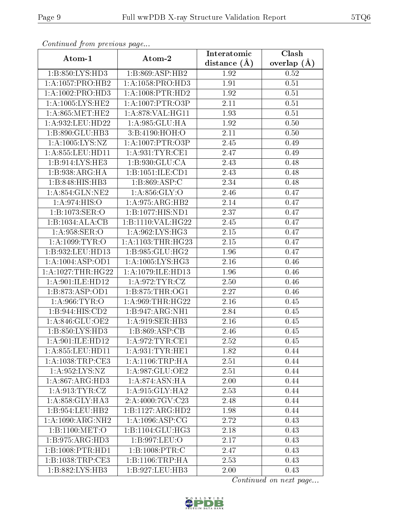| $\mathbf{v}$ and $\mathbf{r}$<br>Atom-1 | Atom-2               | Interatomic       | Clash         |
|-----------------------------------------|----------------------|-------------------|---------------|
|                                         |                      | distance $(\AA)$  | overlap $(A)$ |
| 1: B: 850: LYS: HD3                     | 1:B:869:ASP:HB2      | 1.92              | 0.52          |
| 1: A: 1057: PRO: HB2                    | 1: A: 1058: PRO: HD3 | 1.91              | 0.51          |
| 1:A:1002:PRO:HD3                        | 1: A:1008:PTR:HD2    | 1.92              | 0.51          |
| 1: A: 1005: LYS: HE2                    | 1: A: 1007: PTR: O3P | 2.11              | 0.51          |
| 1: A:865:MET:HE2                        | 1: A:878: VAL:HGI1   | 1.93              | 0.51          |
| 1:A:932:LEU:HD22                        | 1:A:985:GLU:HA       | 1.92              | 0.50          |
| 1: B:890: GLU:HB3                       | 3:B:4190:HOH:O       | $2.11\,$          | 0.50          |
| 1:A:1005:LYS:NZ                         | 1: A: 1007: PTR: O3P | 2.45              | 0.49          |
| 1: A:855: LEU: HD11                     | 1: A:931:TYR:CE1     | 2.47              | 0.49          |
| 1:B:914:LYS:HE3                         | 1:B:930:GLU:CA       | 2.43              | 0.48          |
| 1:B:938:ARG:HA                          | 1:B:1051:ILE:CD1     | 2.43              | 0.48          |
| 1:B:848:HIS:HB3                         | 1:B:869:ASP:C        | 2.34              | 0.48          |
| 1: A:854: GLN:NE2                       | 1: A:856: GLY:O      | 2.46              | 0.47          |
| 1: A:974: HIS:O                         | 1:A:975:ARG:HB2      | 2.14              | 0.47          |
| 1:B:1073:SER:O                          | 1:B:1077:HIS:ND1     | 2.37              | 0.47          |
| 1:B:1034:ALA:CB                         | 1:B:1110:VAL:HG22    | 2.45              | 0.47          |
| 1: A:958: SER:O                         | 1: A:962: LYS: HG3   | 2.15              | 0.47          |
| 1: A: 1099: TYR: O                      | 1:A:1103:THR:HG23    | 2.15              | 0.47          |
| 1:B:932:LEU:HD13                        | 1:B:985:GLU:HG2      | 1.96              | 0.47          |
| 1:A:1004:ASP:OD1                        | 1: A: 1005: LYS: HG3 | 2.16              | 0.46          |
| $1:A:1027:THR:\overline{HG22}$          | 1:A:1079:ILE:HD13    | 1.96              | 0.46          |
| 1: A:901: ILE: HD12                     | 1: A:972: TYR: CZ    | 2.50              | 0.46          |
| 1:B:873:ASP:OD1                         | 1: B: 875: THR: OG1  | 2.27              | 0.46          |
| 1: A:966: TYR:O                         | 1:A:969:THR:HG22     | 2.16              | 0.45          |
| 1:B:944:HIS:CD2                         | 1:B:947:ARG:NH1      | 2.84              | 0.45          |
| 1:A:846:GLU:OE2                         | 1:A:919:SER:HB3      | 2.16              | 0.45          |
| 1:B:850:LYS:HD3                         | 1:B:869:ASP:CB       | 2.46              | 0.45          |
| 1:A:901:ILE:HD12                        | 1: A:972:TYR:CE1     | 2.52              | 0.45          |
| $1:$ A:855:LEU:HD11                     | 1: A:931:TYR:HE1     | 1.82              | 0.44          |
| 1: A:1038:TRP:CE3                       | 1: A:1106:TRP:HA     | 2.51              | 0.44          |
| 1: A:952:LYS:NZ                         | 1:A:987:GLU:OE2      | 2.51              | 0.44          |
| 1: A:867: ARG:HD3                       | 1:A:874:ASN:HA       | 2.00              | 0.44          |
| 1: A:913: TYR: CZ                       | 1:A:915:GLY:HA2      | $\overline{2.53}$ | 0.44          |
| 1: A:858: GLY:HA3                       | 2:A:4000:7GV:C23     | 2.48              | 0.44          |
| 1:B:954:LEU:HB2                         | 1:B:1127:ARG:HD2     | 1.98              | 0.44          |
| 1:A:1090:ARG:NH2                        | 1: A:1096: ASP:CG    | 2.72              | 0.43          |
| 1:B:1100:MET:O                          | 1:B:1104:GLU:HG3     | 2.18              | 0.43          |
| 1: B: 975: ARG: HD3                     | 1:B:997:LEU:O        | 2.17              | 0.43          |
| 1:B:1008:PTR:HD1                        | 1:B:1008:PTR:C       | 2.47              | 0.43          |
| 1: B: 1038: TRP: CE3                    | 1:B:1106:TRP:HA      | 2.53              | 0.43          |
| 1:B:882:LYS:HB3                         | 1:B:927:LEU:HB3      | 2.00              | 0.43          |

Continued from previous page...

Continued on next page...

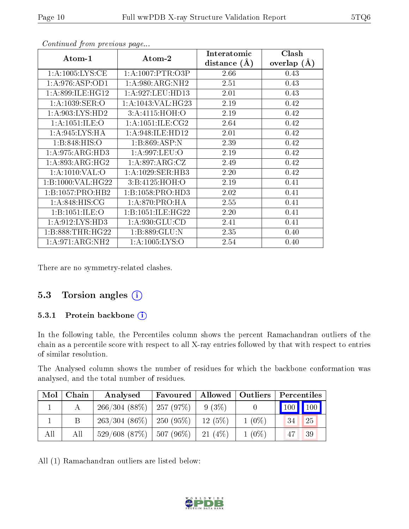| Atom-1              | Atom-2                | Interatomic      | Clash           |
|---------------------|-----------------------|------------------|-----------------|
|                     |                       | distance $(\AA)$ | overlap $(\AA)$ |
| 1: A: 1005: LYS: CE | 1: A: 1007: PTR: O3P  | 2.66             | 0.43            |
| 1: A:976: ASP:OD1   | 1: A:980:ARG:NH2      | 2.51             | 0.43            |
| 1: A:899: ILE: HG12 | 1: A:927: LEU: HD13   | 2.01             | 0.43            |
| 1: A: 1039: SER: O  | 1: A: 1043: VAL: HG23 | 2.19             | 0.42            |
| 1: A:903: LYS: HD2  | 3:A:4115:HOH:O        | 2.19             | 0.42            |
| 1:A:1051:ILE:O      | 1: A: 1051: ILE: CG2  | 2.64             | 0.42            |
| 1: A:945: LYS: HA   | 1: A:948: ILE: HD12   | 2.01             | 0.42            |
| 1: B: 848: HIS: O   | 1:B:869:ASP:N         | 2.39             | 0.42            |
| 1: A:975: ARG:HD3   | 1:A:997:LEU:O         | 2.19             | 0.42            |
| 1: A:893:ARG:HG2    | 1:A:897:ARG:CZ        | 2.49             | 0.42            |
| 1: A: 1010: VAL: O  | 1: A:1029: SER:HB3    | 2.20             | 0.42            |
| 1:B:1000:VAL:HG22   | 3:B:4125:HOH:O        | 2.19             | 0.41            |
| 1:B:1057:PRO:HB2    | 1:B:1058:PRO:HD3      | 2.02             | 0.41            |
| 1: A:848: HIS: CG   | 1: A:870: PRO:HA      | 2.55             | 0.41            |
| 1:B:1051:ILE:O      | 1:B:1051:ILE:HG22     | 2.20             | 0.41            |
| 1: A:912: LYS: HD3  | 1: A:930: GLU:CD      | 2.41             | 0.41            |
| 1:B:888:THR:HG22    | 1:B:889:GLU:N         | 2.35             | 0.40            |
| 1: A:971: ARG: NH2  | 1: A: 1005: LYS: O    | 2.54             | $0.40\,$        |

Continued from previous page...

There are no symmetry-related clashes.

#### 5.3 Torsion angles  $(i)$

#### 5.3.1 Protein backbone (i)

In the following table, the Percentiles column shows the percent Ramachandran outliers of the chain as a percentile score with respect to all X-ray entries followed by that with respect to entries of similar resolution.

The Analysed column shows the number of residues for which the backbone conformation was analysed, and the total number of residues.

| Mol | Chain | Analysed                          | Favoured |        | Allowed   Outliers | Percentiles |    |
|-----|-------|-----------------------------------|----------|--------|--------------------|-------------|----|
|     |       | $266/304(88\%)$   257 (97\%)      |          | 9(3%)  |                    | 100 100     |    |
|     |       | $263/304(86\%)$   250 (95\%)      |          | 12(5%) | $1(0\%)$           | 34          | 25 |
| All | All   | $529/608$ $(87\%)$   507 $(96\%)$ |          | 21(4%) | $1(0\%)$           | 47          | 39 |

All (1) Ramachandran outliers are listed below:

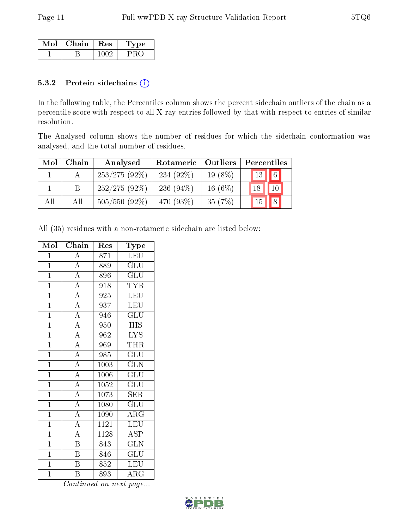| Mol | $\mid$ Chain $\mid$ Res | L'vpe |  |
|-----|-------------------------|-------|--|
|     |                         |       |  |

#### 5.3.2 Protein sidechains (i)

In the following table, the Percentiles column shows the percent sidechain outliers of the chain as a percentile score with respect to all X-ray entries followed by that with respect to entries of similar resolution.

The Analysed column shows the number of residues for which the sidechain conformation was analysed, and the total number of residues.

| Mol | Chain | Analysed        | Rotameric<br>Outliers |           | Percentiles                |                 |  |
|-----|-------|-----------------|-----------------------|-----------|----------------------------|-----------------|--|
|     |       | $253/275(92\%)$ | 234 $(92\%)$          | $19(8\%)$ | $\parallel$ 13 $\parallel$ | $\sqrt{6}$      |  |
|     | B     | $252/275(92\%)$ | 236 $(94\%)$          | $16(6\%)$ | 18                         | $\overline{10}$ |  |
| All | All   | $505/550$ (92%) | 470 (93\%)            | 35(7%)    | $\vert$ 15                 | 8               |  |

All (35) residues with a non-rotameric sidechain are listed below:

| Mol            | Chain                   | Res  | Type                                |
|----------------|-------------------------|------|-------------------------------------|
| $\mathbf{1}$   | $\boldsymbol{A}$        | 871  | <b>LEU</b>                          |
| $\mathbf{1}$   | $\overline{A}$          | 889  | GLU                                 |
| $\mathbf{1}$   | $\overline{A}$          | 896  | GLU                                 |
| $\mathbf{1}$   | $\overline{A}$          | 918  | <b>TYR</b>                          |
| $\overline{1}$ | $\overline{A}$          | 925  | <b>LEU</b>                          |
| $\mathbf{1}$   | $\overline{\rm A}$      | 937  | LEU                                 |
| $\overline{1}$ | $\overline{A}$          | 946  | $\overline{\mathrm{GLU}}$           |
| $\overline{1}$ | $\overline{\rm A}$      | 950  | <b>HIS</b>                          |
| $\overline{1}$ | $\overline{A}$          | 962  | <b>LYS</b>                          |
| $\mathbf{1}$   | $\overline{A}$          | 969  | THR                                 |
| $\mathbf{1}$   | $\overline{A}$          | 985  | $\mathrm{GL} \overline{\mathrm{U}}$ |
| $\mathbf{1}$   | $\overline{A}$          | 1003 | <b>GLN</b>                          |
| $\overline{1}$ | $\overline{A}$          | 1006 | GLU                                 |
| $\overline{1}$ | $\overline{A}$          | 1052 | $\overline{\mathrm{GLU}}$           |
| $\mathbf{1}$   | $\overline{A}$          | 1073 | <b>SER</b>                          |
| $\overline{1}$ | $\overline{A}$          | 1080 | $\overline{\text{GLU}}$             |
| $\overline{1}$ | $\overline{A}$          | 1090 | $\rm{ARG}$                          |
| $\overline{1}$ | $\overline{A}$          | 1121 | LEU                                 |
| $\mathbf{1}$   | $\overline{\rm A}$      | 1128 | <b>ASP</b>                          |
| $\mathbf{1}$   | $\overline{\mathrm{B}}$ | 843  | $\overline{\text{GLN}}$             |
| $\mathbf{1}$   | $\overline{\mathrm{B}}$ | 846  | GLU                                 |
| $\overline{1}$ | $\overline{\mathrm{B}}$ | 852  | LEU                                 |
| $\mathbf 1$    | B                       | 893  | ${\rm ARG}$                         |

Continued on next page...

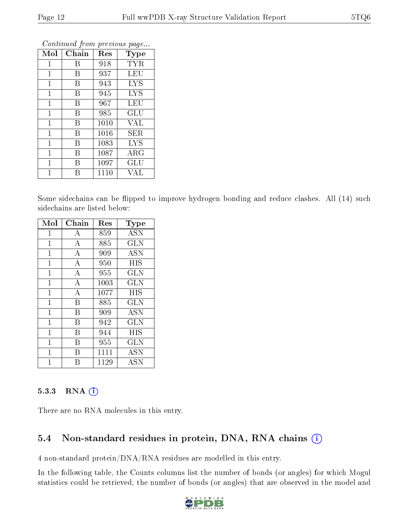| Mol          | Chain | Res  | Type       |
|--------------|-------|------|------------|
| 1            | В     | 918  | TYR        |
| $\mathbf{1}$ | В     | 937  | LEU        |
| $\mathbf{1}$ | В     | 943  | <b>LYS</b> |
| 1            | Β     | 945  | LYS        |
| $\mathbf{1}$ | В     | 967  | LEU        |
| 1            | В     | 985  | GLU        |
| $\mathbf{1}$ | В     | 1010 | VAL        |
| $\mathbf{1}$ | В     | 1016 | SER        |
| 1            | В     | 1083 | <b>LYS</b> |
| $\mathbf 1$  | В     | 1087 | $\rm{ARG}$ |
| 1            | В     | 1097 | GLU        |
|              |       | 1110 | VAL        |

Continued from previous page...

Some sidechains can be flipped to improve hydrogen bonding and reduce clashes. All (14) such sidechains are listed below:

| Mol            | Chain          | Res  | Type       |
|----------------|----------------|------|------------|
| $\mathbf{1}$   | A              | 859  | ASN        |
| 1              | А              | 885  | <b>GLN</b> |
| 1              | A              | 909  | <b>ASN</b> |
| $\mathbf{1}$   | $\overline{A}$ | 950  | HIS        |
| 1              | A              | 955  | GLN        |
| 1              | $\overline{A}$ | 1003 | <b>GLN</b> |
| 1              | А              | 1077 | HIS        |
| 1              | B              | 885  | GLN        |
| $\overline{1}$ | B              | 909  | ASN        |
| 1              | $\overline{B}$ | 942  | <b>GLN</b> |
| 1              | В              | 944  | HIS        |
| 1              | R              | 955  | GLN        |
| 1              | В              | 1111 | <b>ASN</b> |
| 1              |                | 1129 | ASN        |

#### 5.3.3 RNA (1)

There are no RNA molecules in this entry.

### 5.4 Non-standard residues in protein, DNA, RNA chains (i)

4 non-standard protein/DNA/RNA residues are modelled in this entry.

In the following table, the Counts columns list the number of bonds (or angles) for which Mogul statistics could be retrieved, the number of bonds (or angles) that are observed in the model and

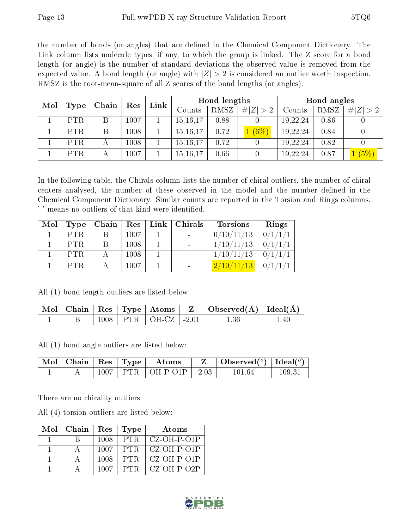the number of bonds (or angles) that are defined in the Chemical Component Dictionary. The Link column lists molecule types, if any, to which the group is linked. The Z score for a bond length (or angle) is the number of standard deviations the observed value is removed from the expected value. A bond length (or angle) with  $|Z| > 2$  is considered an outlier worth inspection. RMSZ is the root-mean-square of all Z scores of the bond lengths (or angles).

| Mol | Type       | Chain | Res  | Bond lengths<br>Link |            |      | Bond angles |          |      |       |
|-----|------------|-------|------|----------------------|------------|------|-------------|----------|------|-------|
|     |            |       |      |                      | Counts     | RMSZ | # $ Z  > 2$ | Counts   | RMSZ | # Z   |
|     | <b>PTR</b> |       | 1007 |                      | 15, 16, 17 | 0.88 |             | 19,22,24 | 0.86 |       |
|     | <b>PTR</b> | B     | 1008 |                      | 15, 16, 17 | 0.72 | $(6\%)$     | 19,22,24 | 0.84 |       |
|     | <b>PTR</b> | А     | 1008 |                      | 15, 16, 17 | 0.72 |             | 19,22,24 | 0.82 |       |
|     | <b>PTR</b> |       | 1007 |                      | 15, 16, 17 | 0.66 |             | 19,22,24 | 0.87 | 1(5%) |

In the following table, the Chirals column lists the number of chiral outliers, the number of chiral centers analysed, the number of these observed in the model and the number defined in the Chemical Component Dictionary. Similar counts are reported in the Torsion and Rings columns. '-' means no outliers of that kind were identified.

| Mol | Type       | Chain | Res  | $\lfloor$ Link $\rfloor$ | Chirals | <b>Torsions</b>                                         | Rings   |
|-----|------------|-------|------|--------------------------|---------|---------------------------------------------------------|---------|
|     | <b>PTR</b> |       | 1007 |                          |         | 0/10/11/13                                              | 0/1/1/1 |
|     | <b>PTR</b> | B     | 1008 |                          |         | 1/10/11/13                                              | 0/1/1/1 |
|     | <b>PTR</b> |       | 1008 |                          |         | 1/10/11/13                                              | 0/      |
|     | <b>PTR</b> |       | 1007 |                          |         | $\left\lfloor \frac{2}{10}/\frac{11}{13} \right\rfloor$ |         |

All (1) bond length outliers are listed below:

|  |  | $\mid$ Mol $\mid$ Chain $\mid$ Res $\mid$ Type $\mid$ Atoms $\mid$ | $\vert$ Observed( $\AA$ ) $\vert$ Ideal( $\AA$ ) $\vert$ |  |
|--|--|--------------------------------------------------------------------|----------------------------------------------------------|--|
|  |  | $1008$   PTR   OH-CZ   -2.01                                       |                                                          |  |

All (1) bond angle outliers are listed below:

|  |  | $\mid$ Mol $\mid$ Chain $\mid$ Res $\mid$ Type $\mid$ Atoms | $\Box$ Observed $(^\circ)$ $\Box$ Ideal $(^\circ)$ |       |
|--|--|-------------------------------------------------------------|----------------------------------------------------|-------|
|  |  | $1007$   PTR   OH-P-O1P   -2.03                             | 101 64                                             | 109.3 |

There are no chirality outliers.

All (4) torsion outliers are listed below:

| Mol | Chain | Res  | Type  | Atoms                     |
|-----|-------|------|-------|---------------------------|
|     |       | 1008 | PTR.  | CZ-OH-P-O1P               |
|     |       | 1007 | PTR.  | $\overline{CZ}$ -OH-P-O1P |
|     |       | 1008 | PTR.  | $\mid$ CZ-OH-P-O1P        |
|     |       | 1007 | PTR – | $\mid$ CZ-OH-P-O2P        |

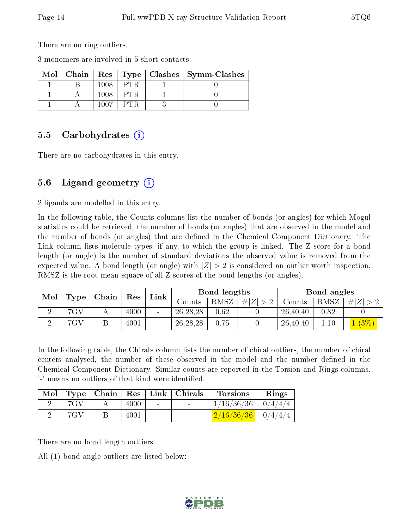There are no ring outliers.

3 monomers are involved in 5 short contacts:

|  |     | Mol   Chain   Res   Type   Clashes   Symm-Clashes |
|--|-----|---------------------------------------------------|
|  | PTR |                                                   |
|  | PTR |                                                   |
|  |     |                                                   |

#### 5.5 Carbohydrates (i)

There are no carbohydrates in this entry.

### 5.6 Ligand geometry (i)

2 ligands are modelled in this entry.

In the following table, the Counts columns list the number of bonds (or angles) for which Mogul statistics could be retrieved, the number of bonds (or angles) that are observed in the model and the number of bonds (or angles) that are dened in the Chemical Component Dictionary. The Link column lists molecule types, if any, to which the group is linked. The Z score for a bond length (or angle) is the number of standard deviations the observed value is removed from the expected value. A bond length (or angle) with  $|Z| > 2$  is considered an outlier worth inspection. RMSZ is the root-mean-square of all Z scores of the bond lengths (or angles).

| Mol |      | Chain | Res  | Link            |            | Bond lengths |             |          | Bond angles |         |
|-----|------|-------|------|-----------------|------------|--------------|-------------|----------|-------------|---------|
|     | Type |       |      |                 | Counts-    | RMSZ         | $\# Z  > 2$ | Counts   | RMSZ        | # Z     |
|     | 7GV  |       | 4000 | $\qquad \qquad$ | 26, 28, 28 | 0.62         |             | 26,40,40 | 0.82        |         |
|     | 7GV  |       | 4001 | -               | 26, 28, 28 | 0.75         |             | 26,40,40 | $\ldots 10$ | $(3\%)$ |

In the following table, the Chirals column lists the number of chiral outliers, the number of chiral centers analysed, the number of these observed in the model and the number defined in the Chemical Component Dictionary. Similar counts are reported in the Torsion and Rings columns. '-' means no outliers of that kind were identified.

|     |   |      |        | Mol   Type   Chain   Res   Link   Chirals | <b>Torsions</b>                | Rings |
|-----|---|------|--------|-------------------------------------------|--------------------------------|-------|
| 7GV |   | 4000 | $\sim$ | <b>Contract Contract</b>                  | $\frac{1}{16/36/36}$   0/4/4/4 |       |
| 7GV | Β | 4001 | $\sim$ | and the state of the                      | $\frac{2}{16/36/36}$   0/4/4/4 |       |

There are no bond length outliers.

All (1) bond angle outliers are listed below:

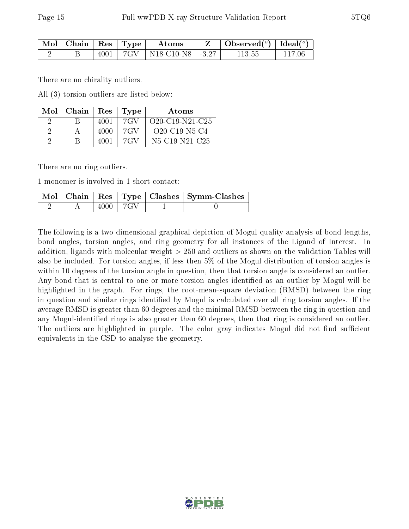| $\mid$ Mol $\mid$ Chain $\mid$ Res $\mid$ Type $\mid$ |  | $\rm~Atons$                         | $\mathbf{Z}$   Observed( $^o$ )   Ideal( $^o$ ) |        |
|-------------------------------------------------------|--|-------------------------------------|-------------------------------------------------|--------|
|                                                       |  | $4001$   $7GV$   N18-C10-N8   -3.27 | 113.55                                          | 117 06 |

There are no chirality outliers.

All (3) torsion outliers are listed below:

| Mol | Chain | Res  | Type | Atoms                   |
|-----|-------|------|------|-------------------------|
|     |       | 4001 | 7G V | $O20 - C19 - N21 - C25$ |
|     |       | 4000 | 7GV  | $O20 - C19 - N5 - C4$   |
|     |       | 4001 | 7GV  | $N5-C19-N21-C25$        |

There are no ring outliers.

1 monomer is involved in 1 short contact:

|  |      |  | Mol   Chain   Res   Type   Clashes   Symm-Clashes ' |
|--|------|--|-----------------------------------------------------|
|  | 4000 |  |                                                     |

The following is a two-dimensional graphical depiction of Mogul quality analysis of bond lengths, bond angles, torsion angles, and ring geometry for all instances of the Ligand of Interest. In addition, ligands with molecular weight > 250 and outliers as shown on the validation Tables will also be included. For torsion angles, if less then 5% of the Mogul distribution of torsion angles is within 10 degrees of the torsion angle in question, then that torsion angle is considered an outlier. Any bond that is central to one or more torsion angles identified as an outlier by Mogul will be highlighted in the graph. For rings, the root-mean-square deviation (RMSD) between the ring in question and similar rings identified by Mogul is calculated over all ring torsion angles. If the average RMSD is greater than 60 degrees and the minimal RMSD between the ring in question and any Mogul-identified rings is also greater than 60 degrees, then that ring is considered an outlier. The outliers are highlighted in purple. The color gray indicates Mogul did not find sufficient equivalents in the CSD to analyse the geometry.

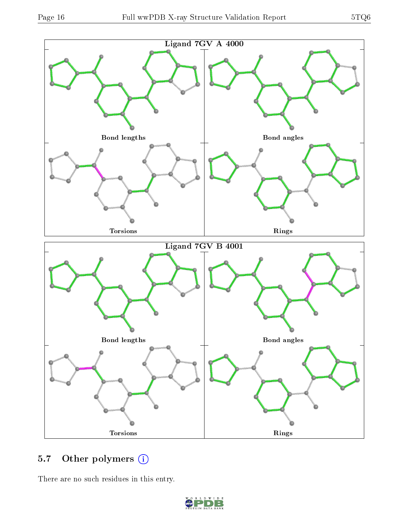

## 5.7 [O](https://www.wwpdb.org/validation/2017/XrayValidationReportHelp#nonstandard_residues_and_ligands)ther polymers (i)

There are no such residues in this entry.

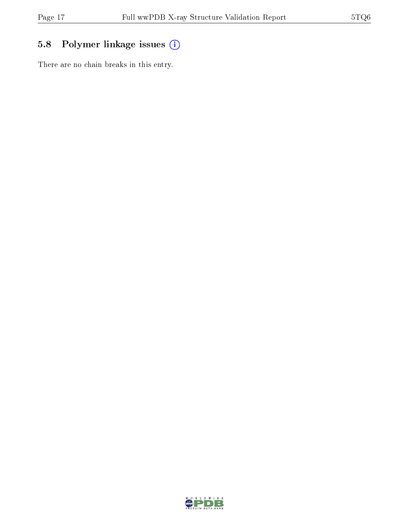## 5.8 Polymer linkage issues (i)

There are no chain breaks in this entry.

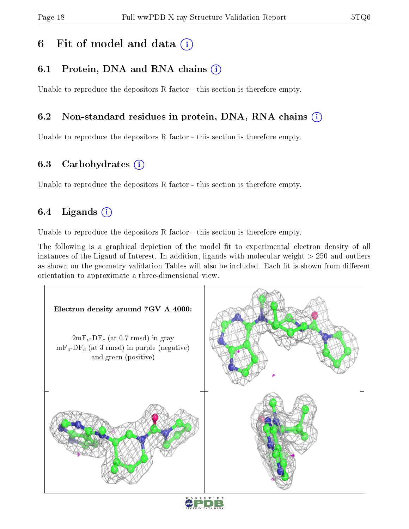# 6 Fit of model and data  $(i)$

### 6.1 Protein, DNA and RNA chains (i)

Unable to reproduce the depositors R factor - this section is therefore empty.

### 6.2 Non-standard residues in protein, DNA, RNA chains (i)

Unable to reproduce the depositors R factor - this section is therefore empty.

#### 6.3 Carbohydrates (i)

Unable to reproduce the depositors R factor - this section is therefore empty.

### 6.4 Ligands  $(i)$

Unable to reproduce the depositors R factor - this section is therefore empty.

The following is a graphical depiction of the model fit to experimental electron density of all instances of the Ligand of Interest. In addition, ligands with molecular weight > 250 and outliers as shown on the geometry validation Tables will also be included. Each fit is shown from different orientation to approximate a three-dimensional view.